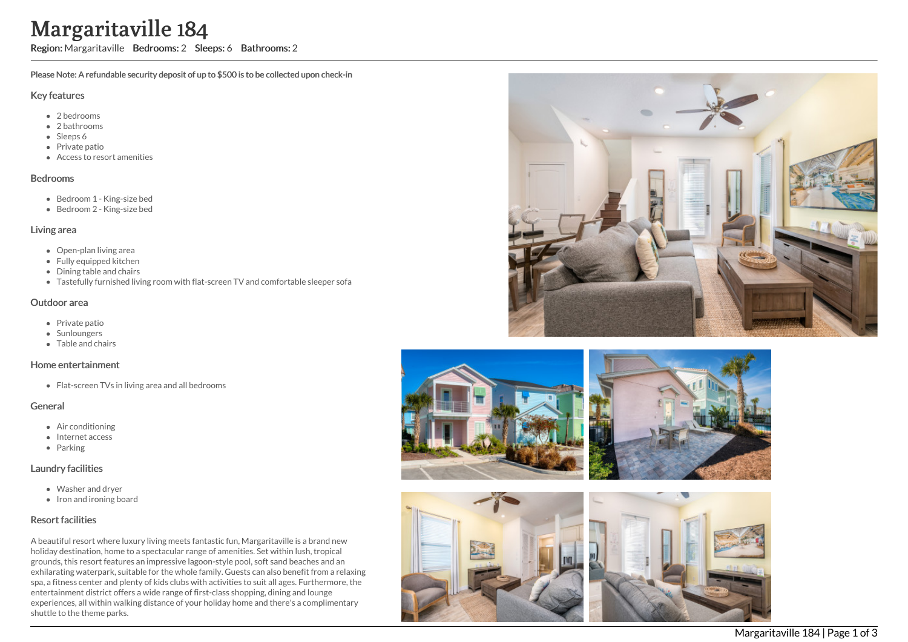# ville 184

Region: Margaritaville Bedrooms: 2 Sleeps: 6 Bathrooms: 2

Please Note: A refundable security deposit of up to \$500 is to be collected upon check-in

#### Key features

- 2 b e d r o o m s
- 2 bathrooms
- Sleeps 6
- Private patio
- Access to resort amenities

#### **Bedrooms**

- Bedroom 1 King-size bed
- Bedroom 2 King-size bed

#### Living area

- Open-plan living area
- Fully equipped kitchen
- Dining table and chairs
- Tastefully furnished living room with flat-screen TV and comfortable sleeper sofa

#### Outdoor area

- Private patio
- **Sunloungers**
- T a ble a n d c h air s

#### Home entertainment

Flat-screen TVs in living area and all bedrooms

## General

- Air conditioning
- Internet access
- Parking

## Laundry facilities

- Washer and dryer
- Iron and ironing board

## Resort facilities

A beautiful resort where luxury living meets fantastic fun, Margaritaville is a brand new holiday destination, home to a spectacular range of amenities. Set within lush, tropical grounds, this resort features an impressive lagoon-style pool, soft sand beaches and an exhilarating waterpark, suitable for the whole family. Guests can also benefit from a relaxing spa, a fitness center and plenty of kids clubs with activities to suit all ages. Furthermore, the entertainment district offers a wide range of first-class shopping, dining and lounge experiences, all within walking distance of your holiday home and there's a complimentary shuttle to the theme parks **Margaritaville Branch (States)**<br>
Region: Margaritaville Brease Note: A refundable see<br>
Key features<br>
• 2 bedrooms<br>
• 2 bedrooms<br>
• Sleeps 6<br>
• Private patio<br>
• Redroom 1 - King-size<br>
• Bedrooms<br>
• Bedroom 2 - King-size<br>
•





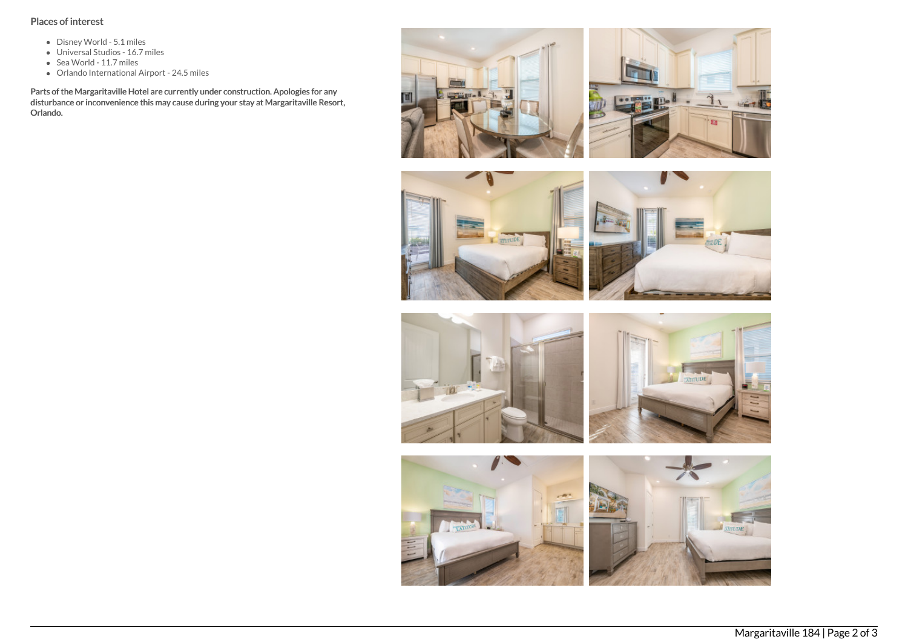# Places of interest

- Disney World 5.1 miles
- Universal Studios 16.7 miles
- Sea World 11.7 miles
- Orlando International Airport 24.5 miles

Parts of the Margaritaville Hotel are currently under construction. Apologies for any disturbance or inconvenience this may cause during your stay at Margaritaville Resort, Orlando.